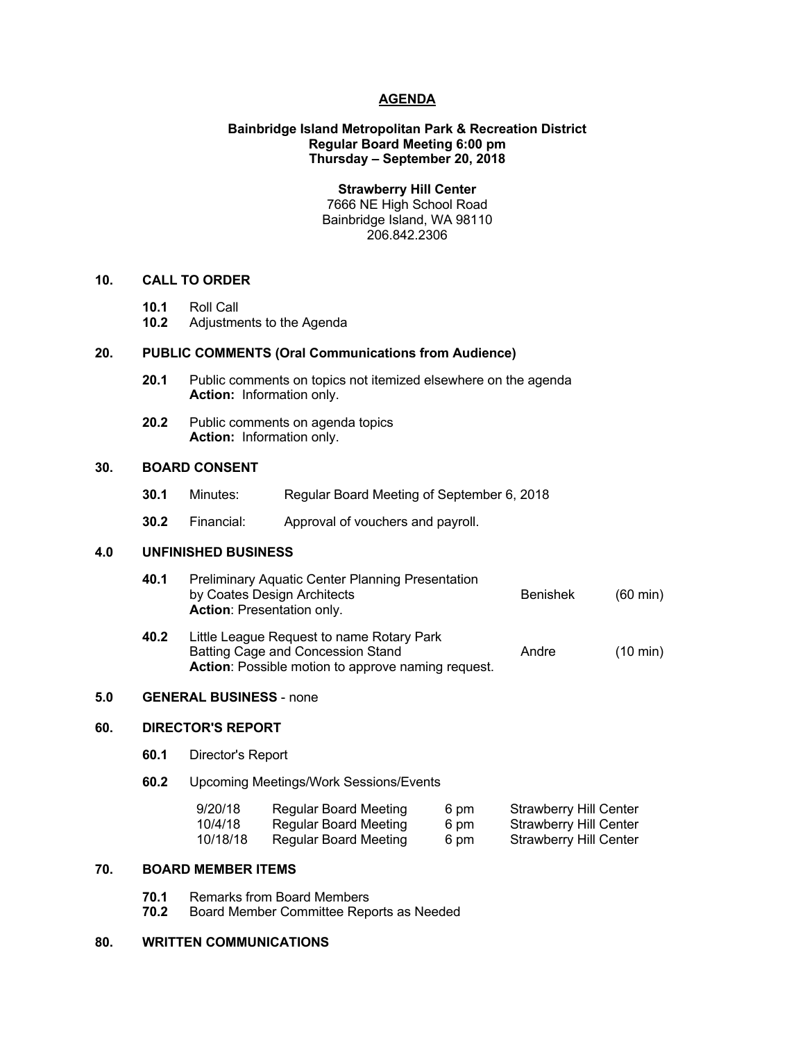# **AGENDA**

# **Bainbridge Island Metropolitan Park & Recreation District Regular Board Meeting 6:00 pm Thursday – September 20, 2018**

**Strawberry Hill Center** 7666 NE High School Road Bainbridge Island, WA 98110 206.842.2306

#### **10. CALL TO ORDER**

- **10.1** Roll Call
- **10.2** Adjustments to the Agenda

## **20. PUBLIC COMMENTS (Oral Communications from Audience)**

- **20.1** Public comments on topics not itemized elsewhere on the agenda **Action:** Information only.
- **20.2** Public comments on agenda topics **Action:** Information only.

# **30. BOARD CONSENT**

- **30.1** Minutes: Regular Board Meeting of September 6, 2018
- **30.2** Financial: Approval of vouchers and payroll.

## **4.0 UNFINISHED BUSINESS**

- **40.1** Preliminary Aquatic Center Planning Presentation by Coates Design Architects **Benishek** (60 min) **Action**: Presentation only.
- **40.2** Little League Request to name Rotary Park Batting Cage and Concession Stand Andre (10 min) **Action**: Possible motion to approve naming request.

#### **5.0 GENERAL BUSINESS** - none

#### **60. DIRECTOR'S REPORT**

- **60.1** Director's Report
- **60.2** Upcoming Meetings/Work Sessions/Events

| 9/20/18  | <b>Regular Board Meeting</b> | 6 pm | <b>Strawberry Hill Center</b> |
|----------|------------------------------|------|-------------------------------|
| 10/4/18  | Regular Board Meeting        | 6 pm | Strawberry Hill Center        |
| 10/18/18 | Regular Board Meeting        | 6 pm | Strawberry Hill Center        |

## **70. BOARD MEMBER ITEMS**

- **70.1** Remarks from Board Members
- **70.2** Board Member Committee Reports as Needed

# **80. WRITTEN COMMUNICATIONS**